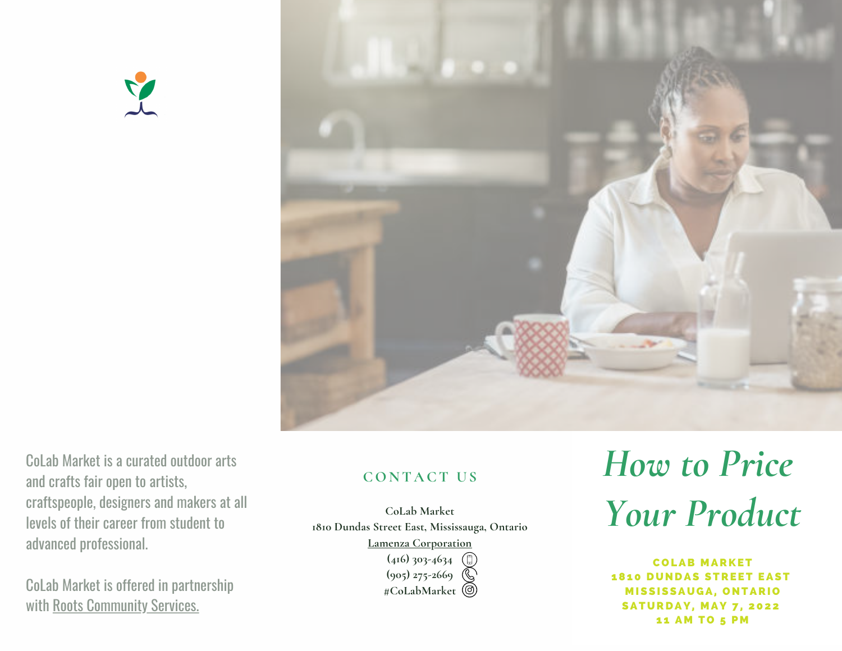



CoLab Market is a curated outdoor arts and crafts fair open to artists, [craftspeople,](https://rootscs.org/) designers and makers at all levels of their career from student to advanced professional.

CoLab Market is offered in partnership with Roots [Community](https://rootscs.org/) Services.

#### **CON T A CT U S**

**CoLab Market 1810 Dundas Street East, Mississauga, Ontario**

**Lamenza [Corporation](https://www.lamenzacorp.com/contact)**

**(416) 303-4634 (905) 275-2669 #CoLabMarket**

# *How to Price Your Product*

C O LAB M ARKET **1810 DUNDAS STREET EAST MISSISSAUGA, ONTARIO SATURDAY, MAY 7, 2022** 11 AM TO 5 PM